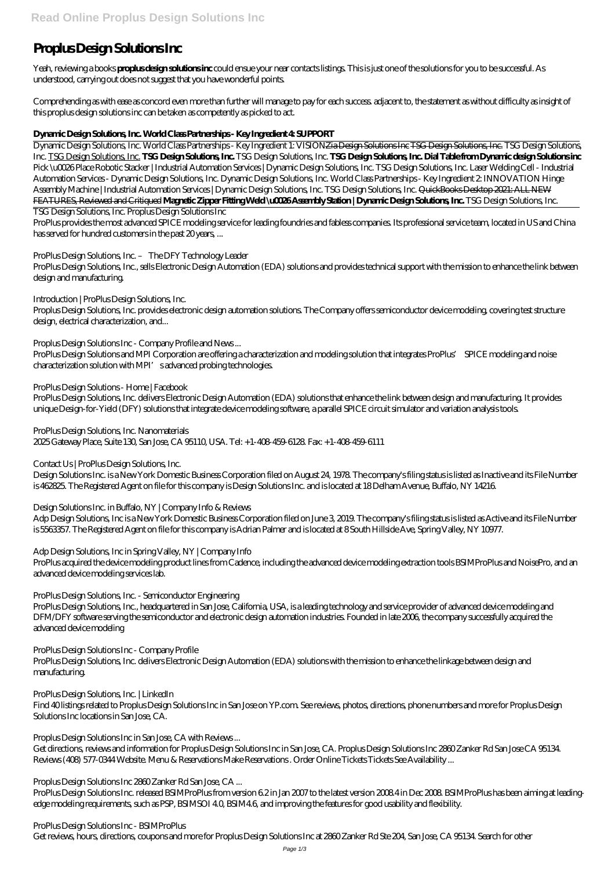# **Proplus Design Solutions Inc**

Yeah, reviewing a books **proplus design solutions inc** could ensue your near contacts listings. This is just one of the solutions for you to be successful. As understood, carrying out does not suggest that you have wonderful points.

Comprehending as with ease as concord even more than further will manage to pay for each success. adjacent to, the statement as without difficulty as insight of this proplus design solutions inc can be taken as competently as picked to act.

## **Dynamic Design Solutions, Inc. World Class Partnerships - Key Ingredient 4: SUPPORT**

Dynamic Design Solutions, Inc. World Class Partnerships - Key Ingredient 1: VISIONZia Design Solutions Inc TSG Design Solutions, Inc. TSG Design Solutions, Inc. TSG Design Solutions, Inc. **TSG Design Solutions, Inc.** *TSG Design Solutions, Inc.* **TSG Design Solutions, Inc. Dial Table from Dynamic design Solutions inc** *Pick \u0026 Place Robotic Stacker | Industrial Automation Services | Dynamic Design Solutions, Inc. TSG Design Solutions, Inc. Laser Welding Cell - Industrial Automation Services - Dynamic Design Solutions, Inc. Dynamic Design Solutions, Inc. World Class Partnerships - Key Ingredient 2: INNOVATION* Hinge Assembly Machine | Industrial Automation Services | Dynamic Design Solutions, Inc. TSG Design Solutions, Inc. QuickBooks Desktop 2021: ALL NEW FEATURES, Reviewed and Critiqued **Magnetic Zipper Fitting Weld \u0026 Assembly Station | Dynamic Design Solutions, Inc.** TSG Design Solutions, Inc.

ProPlus Design Solutions and MPI Corporation are offering a characterization and modeling solution that integrates ProPlus' SPICE modeling and noise characterization solution with MPI's advanced probing technologies.

TSG Design Solutions, Inc. Proplus Design Solutions Inc

ProPlus provides the most advanced SPICE modeling service for leading foundries and fabless companies. Its professional service team, located in US and China has served for hundred customers in the past 20 years, ...

ProPlus Design Solutions, Inc. – The DFY Technology Leader

ProPlus Design Solutions, Inc., sells Electronic Design Automation (EDA) solutions and provides technical support with the mission to enhance the link between design and manufacturing.

Introduction | ProPlus Design Solutions, Inc.

Proplus Design Solutions, Inc. provides electronic design automation solutions. The Company offers semiconductor device modeling, covering test structure design, electrical characterization, and...

Proplus Design Solutions Inc - Company Profile and News ...

ProPlus Design Solutions - Home | Facebook

ProPlus Design Solutions, Inc. delivers Electronic Design Automation (EDA) solutions that enhance the link between design and manufacturing. It provides unique Design-for-Yield (DFY) solutions that integrate device modeling software, a parallel SPICE circuit simulator and variation analysis tools.

ProPlus Design Solutions, Inc. Nanomaterials 2025 Gateway Place, Suite 130, San Jose, CA 95110, USA. Tel: +1-408-459-6128. Fax: +1-408-459-6111

Contact Us | ProPlus Design Solutions, Inc.

Design Solutions Inc. is a New York Domestic Business Corporation filed on August 24, 1978. The company's filing status is listed as Inactive and its File Number is 462825. The Registered Agent on file for this company is Design Solutions Inc. and is located at 18 Delham Avenue, Buffalo, NY 14216.

Design Solutions Inc. in Buffalo, NY | Company Info & Reviews

Adp Design Solutions, Inc is a New York Domestic Business Corporation filed on June 3, 2019. The company's filing status is listed as Active and its File Number is 5563357. The Registered Agent on file for this company is Adrian Palmer and is located at 8 South Hillside Ave, Spring Valley, NY 10977.

Adp Design Solutions, Inc in Spring Valley, NY | Company Info

ProPlus acquired the device modeling product lines from Cadence, including the advanced device modeling extraction tools BSIMProPlus and NoisePro, and an advanced device modeling services lab.

ProPlus Design Solutions, Inc. - Semiconductor Engineering

ProPlus Design Solutions, Inc., headquartered in San Jose, California, USA, is a leading technology and service provider of advanced device modeling and DFM/DFY software serving the semiconductor and electronic design automation industries. Founded in late 2006, the company successfully acquired the advanced device modeling

ProPlus Design Solutions Inc - Company Profile

ProPlus Design Solutions, Inc. delivers Electronic Design Automation (EDA) solutions with the mission to enhance the linkage between design and manufacturing.

#### ProPlus Design Solutions, Inc. | LinkedIn Find 40 listings related to Proplus Design Solutions Inc in San Jose on YP.com. See reviews, photos, directions, phone numbers and more for Proplus Design Solutions Inc locations in San Jose, CA.

Proplus Design Solutions Inc in San Jose, CA with Reviews ...

Get directions, reviews and information for Proplus Design Solutions Inc in San Jose, CA. Proplus Design Solutions Inc 2860 Zanker Rd San Jose CA 95134. Reviews (408) 577-0344 Website. Menu & Reservations Make Reservations . Order Online Tickets Tickets See Availability ...

Proplus Design Solutions Inc 2860 Zanker Rd San Jose, CA ...

ProPlus Design Solutions Inc. released BSIMProPlus from version 6.2 in Jan 2007 to the latest version 2008.4 in Dec 2008. BSIMProPlus has been aiming at leadingedge modeling requirements, such as PSP, BSIMSOI 4.0, BSIM4.6, and improving the features for good usability and flexibility.

ProPlus Design Solutions Inc - BSIMProPlus

Get reviews, hours, directions, coupons and more for Proplus Design Solutions Inc at 2860 Zanker Rd Ste 204, San Jose, CA 95134. Search for other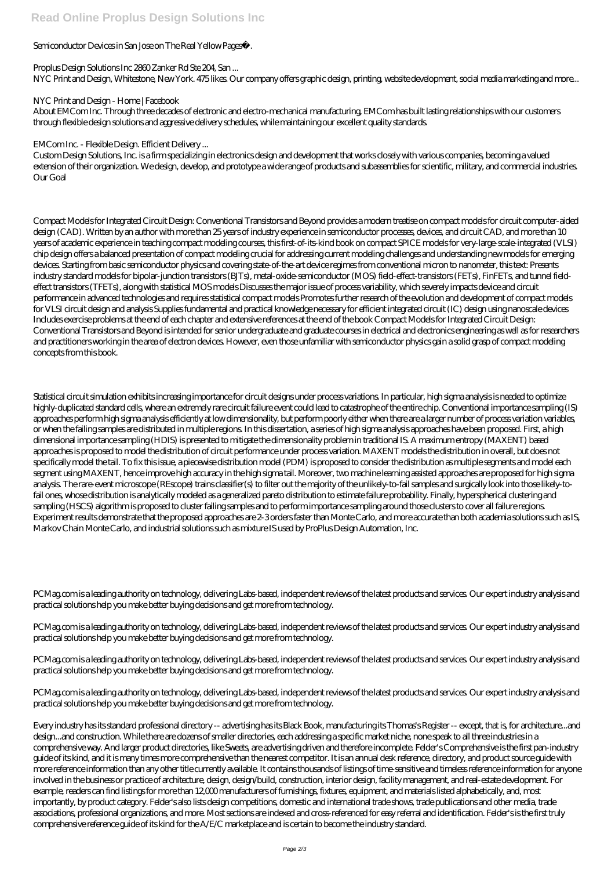## Semiconductor Devices in San Jose on The Real Yellow Pages®.

Proplus Design Solutions Inc 2860 Zanker Rd Ste 204, San ... NYC Print and Design, Whitestone, New York. 475 likes. Our company offers graphic design, printing, website development, social media marketing and more...

#### NYC Print and Design - Home | Facebook

About EMCom Inc. Through three decades of electronic and electro-mechanical manufacturing, EMCom has built lasting relationships with our customers through flexible design solutions and aggressive delivery schedules, while maintaining our excellent quality standards.

## EMCom Inc. - Flexible Design. Efficient Delivery ...

Custom Design Solutions, Inc. is a firm specializing in electronics design and development that works closely with various companies, becoming a valued extension of their organization. We design, develop, and prototype a wide range of products and subassemblies for scientific, military, and commercial industries. Our Goal

Compact Models for Integrated Circuit Design: Conventional Transistors and Beyond provides a modern treatise on compact models for circuit computer-aided design (CAD). Written by an author with more than 25 years of industry experience in semiconductor processes, devices, and circuit CAD, and more than 10 years of academic experience in teaching compact modeling courses, this first-of-its-kind book on compact SPICE models for very-large-scale-integrated (VLSI) chip design offers a balanced presentation of compact modeling crucial for addressing current modeling challenges and understanding new models for emerging devices. Starting from basic semiconductor physics and covering state-of-the-art device regimes from conventional micron to nanometer, this text: Presents industry standard models for bipolar-junction transistors (BJTs), metal-oxide-semiconductor (MOS) field-effect-transistors (FETs), FinFETs, and tunnel fieldeffect transistors (TFETs), along with statistical MOS models Discusses the major issue of process variability, which severely impacts device and circuit performance in advanced technologies and requires statistical compact models Promotes further research of the evolution and development of compact models for VLSI circuit design and analysis Supplies fundamental and practical knowledge necessary for efficient integrated circuit (IC) design using nanoscale devices Includes exercise problems at the end of each chapter and extensive references at the end of the book Compact Models for Integrated Circuit Design: Conventional Transistors and Beyond is intended for senior undergraduate and graduate courses in electrical and electronics engineering as well as for researchers and practitioners working in the area of electron devices. However, even those unfamiliar with semiconductor physics gain a solid grasp of compact modeling concepts from this book.

PCMag.com is a leading authority on technology, delivering Labs-based, independent reviews of the latest products and services. Our expert industry analysis and practical solutions help you make better buying decisions and get more from technology.

Statistical circuit simulation exhibits increasing importance for circuit designs under process variations. In particular, high sigma analysis is needed to optimize highly-duplicated standard cells, where an extremely rare circuit failure event could lead to catastrophe of the entire chip. Conventional importance sampling (IS) approaches perform high sigma analysis efficiently at low dimensionality, but perform poorly either when there are a larger number of process variation variables, or when the failing samples are distributed in multiple regions. In this dissertation, a series of high sigma analysis approaches have been proposed. First, a high dimensional importance sampling (HDIS) is presented to mitigate the dimensionality problem in traditional IS. A maximum entropy (MAXENT) based approaches is proposed to model the distribution of circuit performance under process variation. MAXENT models the distribution in overall, but does not specifically model the tail. To fix this issue, a piecewise distribution model (PDM) is proposed to consider the distribution as multiple segments and model each segment using MAXENT, hence improve high accuracy in the high sigma tail. Moreover, two machine learning assisted approaches are proposed for high sigma analysis. The rare-event microscope (REscope) trains classifier(s) to filter out the majority of the unlikely-to-fail samples and surgically look into those likely-tofail ones, whose distribution is analytically modeled as a generalized pareto distribution to estimate failure probability. Finally, hyperspherical clustering and sampling (HSCS) algorithm is proposed to cluster failing samples and to perform importance sampling around those clusters to cover all failure regions. Experiment results demonstrate that the proposed approaches are 2-3 orders faster than Monte Carlo, and more accurate than both academia solutions such as IS, Markov Chain Monte Carlo, and industrial solutions such as mixture IS used by ProPlus Design Automation, Inc.

PCMag.com is a leading authority on technology, delivering Labs-based, independent reviews of the latest products and services. Our expert industry analysis and practical solutions help you make better buying decisions and get more from technology.

PCMag.com is a leading authority on technology, delivering Labs-based, independent reviews of the latest products and services. Our expert industry analysis and practical solutions help you make better buying decisions and get more from technology.

PCMag.com is a leading authority on technology, delivering Labs-based, independent reviews of the latest products and services. Our expert industry analysis and practical solutions help you make better buying decisions and get more from technology.

Every industry has its standard professional directory -- advertising has its Black Book, manufacturing its Thomas's Register -- except, that is, for architecture...and design...and construction. While there are dozens of smaller directories, each addressing a specific market niche, none speak to all three industries in a comprehensive way. And larger product directories, like Sweets, are advertising driven and therefore incomplete. Felder's Comprehensive is the first pan-industry guide of its kind, and it is many times more comprehensive than the nearest competitor. It is an annual desk reference, directory, and product source guide with more reference information than any other title currently available. It contains thousands of listings of time-sensitive and timeless reference information for anyone involved in the business or practice of architecture, design, design/build, construction, interior design, facility management, and real-estate development. For example, readers can find listings for more than 12,000 manufacturers of furnishings, fixtures, equipment, and materials listed alphabetically, and, most importantly, by product category. Felder's also lists design competitions, domestic and international trade shows, trade publications and other media, trade associations, professional organizations, and more. Most sections are indexed and cross-referenced for easy referral and identification. Felder's is the first truly comprehensive reference guide of its kind for the A/E/C marketplace and is certain to become the industry standard.